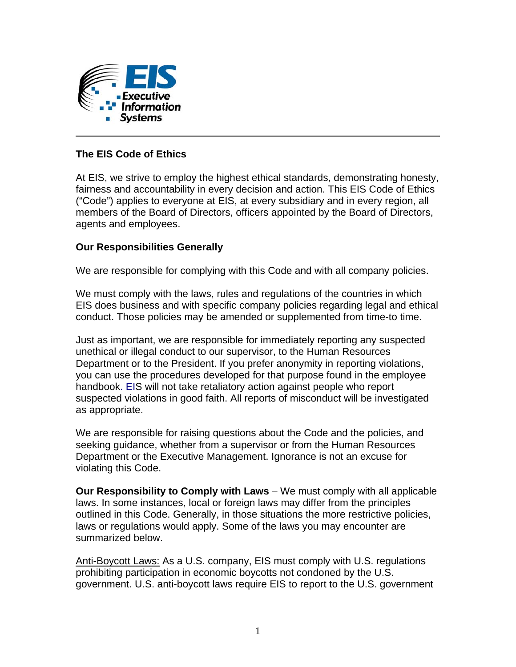

## **The EIS Code of Ethics**

At EIS, we strive to employ the highest ethical standards, demonstrating honesty, fairness and accountability in every decision and action. This EIS Code of Ethics ("Code") applies to everyone at EIS, at every subsidiary and in every region, all members of the Board of Directors, officers appointed by the Board of Directors, agents and employees.

## **Our Responsibilities Generally**

We are responsible for complying with this Code and with all company policies.

We must comply with the laws, rules and regulations of the countries in which EIS does business and with specific company policies regarding legal and ethical conduct. Those policies may be amended or supplemented from time-to time.

Just as important, we are responsible for immediately reporting any suspected unethical or illegal conduct to our supervisor, to the Human Resources Department or to the President. If you prefer anonymity in reporting violations, you can use the procedures developed for that purpose found in the employee handbook. EIS will not take retaliatory action against people who report suspected violations in good faith. All reports of misconduct will be investigated as appropriate.

We are responsible for raising questions about the Code and the policies, and seeking guidance, whether from a supervisor or from the Human Resources Department or the Executive Management. Ignorance is not an excuse for violating this Code.

**Our Responsibility to Comply with Laws** – We must comply with all applicable laws. In some instances, local or foreign laws may differ from the principles outlined in this Code. Generally, in those situations the more restrictive policies, laws or regulations would apply. Some of the laws you may encounter are summarized below.

Anti-Boycott Laws: As a U.S. company, EIS must comply with U.S. regulations prohibiting participation in economic boycotts not condoned by the U.S. government. U.S. anti-boycott laws require EIS to report to the U.S. government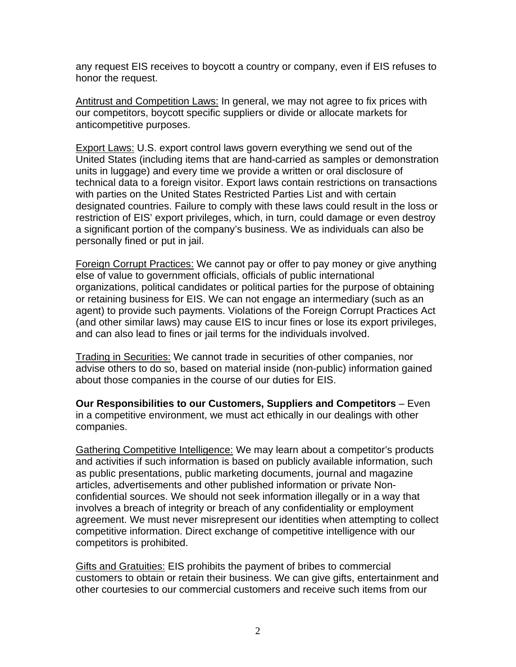any request EIS receives to boycott a country or company, even if EIS refuses to honor the request.

Antitrust and Competition Laws: In general, we may not agree to fix prices with our competitors, boycott specific suppliers or divide or allocate markets for anticompetitive purposes.

Export Laws: U.S. export control laws govern everything we send out of the United States (including items that are hand-carried as samples or demonstration units in luggage) and every time we provide a written or oral disclosure of technical data to a foreign visitor. Export laws contain restrictions on transactions with parties on the United States Restricted Parties List and with certain designated countries. Failure to comply with these laws could result in the loss or restriction of EIS' export privileges, which, in turn, could damage or even destroy a significant portion of the company's business. We as individuals can also be personally fined or put in jail.

Foreign Corrupt Practices: We cannot pay or offer to pay money or give anything else of value to government officials, officials of public international organizations, political candidates or political parties for the purpose of obtaining or retaining business for EIS. We can not engage an intermediary (such as an agent) to provide such payments. Violations of the Foreign Corrupt Practices Act (and other similar laws) may cause EIS to incur fines or lose its export privileges, and can also lead to fines or jail terms for the individuals involved.

Trading in Securities: We cannot trade in securities of other companies, nor advise others to do so, based on material inside (non-public) information gained about those companies in the course of our duties for EIS.

**Our Responsibilities to our Customers, Suppliers and Competitors – Even** in a competitive environment, we must act ethically in our dealings with other companies.

Gathering Competitive Intelligence: We may learn about a competitor's products and activities if such information is based on publicly available information, such as public presentations, public marketing documents, journal and magazine articles, advertisements and other published information or private Nonconfidential sources. We should not seek information illegally or in a way that involves a breach of integrity or breach of any confidentiality or employment agreement. We must never misrepresent our identities when attempting to collect competitive information. Direct exchange of competitive intelligence with our competitors is prohibited.

Gifts and Gratuities: EIS prohibits the payment of bribes to commercial customers to obtain or retain their business. We can give gifts, entertainment and other courtesies to our commercial customers and receive such items from our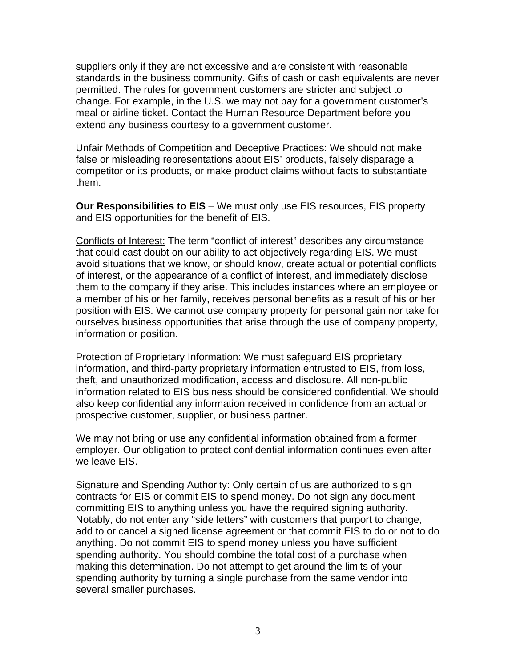suppliers only if they are not excessive and are consistent with reasonable standards in the business community. Gifts of cash or cash equivalents are never permitted. The rules for government customers are stricter and subject to change. For example, in the U.S. we may not pay for a government customer's meal or airline ticket. Contact the Human Resource Department before you extend any business courtesy to a government customer.

Unfair Methods of Competition and Deceptive Practices: We should not make false or misleading representations about EIS' products, falsely disparage a competitor or its products, or make product claims without facts to substantiate them.

**Our Responsibilities to EIS** – We must only use EIS resources, EIS property and EIS opportunities for the benefit of EIS.

Conflicts of Interest: The term "conflict of interest" describes any circumstance that could cast doubt on our ability to act objectively regarding EIS. We must avoid situations that we know, or should know, create actual or potential conflicts of interest, or the appearance of a conflict of interest, and immediately disclose them to the company if they arise. This includes instances where an employee or a member of his or her family, receives personal benefits as a result of his or her position with EIS. We cannot use company property for personal gain nor take for ourselves business opportunities that arise through the use of company property, information or position.

Protection of Proprietary Information: We must safeguard EIS proprietary information, and third-party proprietary information entrusted to EIS, from loss, theft, and unauthorized modification, access and disclosure. All non-public information related to EIS business should be considered confidential. We should also keep confidential any information received in confidence from an actual or prospective customer, supplier, or business partner.

We may not bring or use any confidential information obtained from a former employer. Our obligation to protect confidential information continues even after we leave EIS.

Signature and Spending Authority: Only certain of us are authorized to sign contracts for EIS or commit EIS to spend money. Do not sign any document committing EIS to anything unless you have the required signing authority. Notably, do not enter any "side letters" with customers that purport to change, add to or cancel a signed license agreement or that commit EIS to do or not to do anything. Do not commit EIS to spend money unless you have sufficient spending authority. You should combine the total cost of a purchase when making this determination. Do not attempt to get around the limits of your spending authority by turning a single purchase from the same vendor into several smaller purchases.